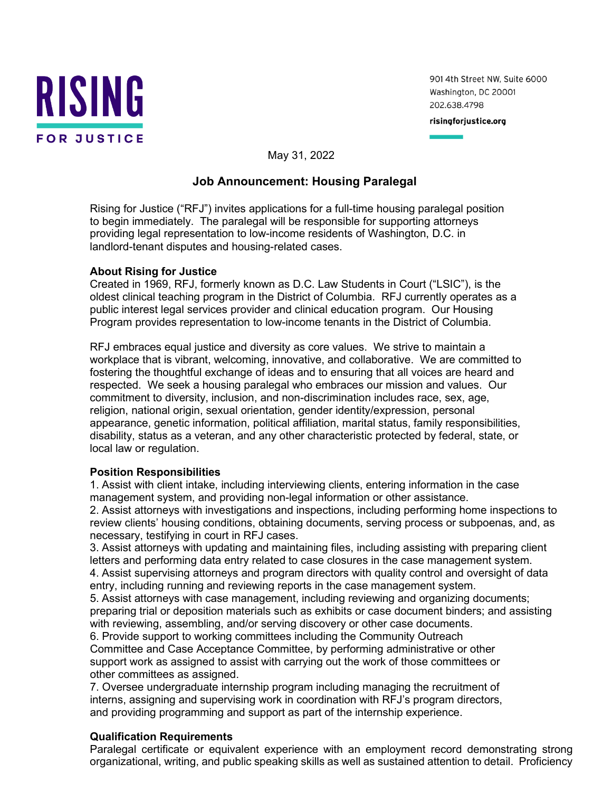

901 4th Street NW, Suite 6000 Washington, DC 20001 202.638.4798

risingforjustice.org

May 31, 2022

## **Job Announcement: Housing Paralegal**

Rising for Justice ("RFJ") invites applications for a full-time housing paralegal position to begin immediately. The paralegal will be responsible for supporting attorneys providing legal representation to low-income residents of Washington, D.C. in landlord-tenant disputes and housing-related cases.

## **About Rising for Justice**

Created in 1969, RFJ, formerly known as D.C. Law Students in Court ("LSIC"), is the oldest clinical teaching program in the District of Columbia. RFJ currently operates as a public interest legal services provider and clinical education program. Our Housing Program provides representation to low-income tenants in the District of Columbia.

RFJ embraces equal justice and diversity as core values. We strive to maintain a workplace that is vibrant, welcoming, innovative, and collaborative. We are committed to fostering the thoughtful exchange of ideas and to ensuring that all voices are heard and respected. We seek a housing paralegal who embraces our mission and values. Our commitment to diversity, inclusion, and non-discrimination includes race, sex, age, religion, national origin, sexual orientation, gender identity/expression, personal appearance, genetic information, political affiliation, marital status, family responsibilities, disability, status as a veteran, and any other characteristic protected by federal, state, or local law or regulation.

## **Position Responsibilities**

1. Assist with client intake, including interviewing clients, entering information in the case management system, and providing non-legal information or other assistance.

2. Assist attorneys with investigations and inspections, including performing home inspections to review clients' housing conditions, obtaining documents, serving process or subpoenas, and, as necessary, testifying in court in RFJ cases.

3. Assist attorneys with updating and maintaining files, including assisting with preparing client letters and performing data entry related to case closures in the case management system. 4. Assist supervising attorneys and program directors with quality control and oversight of data entry, including running and reviewing reports in the case management system.

5. Assist attorneys with case management, including reviewing and organizing documents; preparing trial or deposition materials such as exhibits or case document binders; and assisting with reviewing, assembling, and/or serving discovery or other case documents.

6. Provide support to working committees including the Community Outreach Committee and Case Acceptance Committee, by performing administrative or other support work as assigned to assist with carrying out the work of those committees or other committees as assigned.

7. Oversee undergraduate internship program including managing the recruitment of interns, assigning and supervising work in coordination with RFJ's program directors, and providing programming and support as part of the internship experience.

## **Qualification Requirements**

Paralegal certificate or equivalent experience with an employment record demonstrating strong organizational, writing, and public speaking skills as well as sustained attention to detail. Proficiency